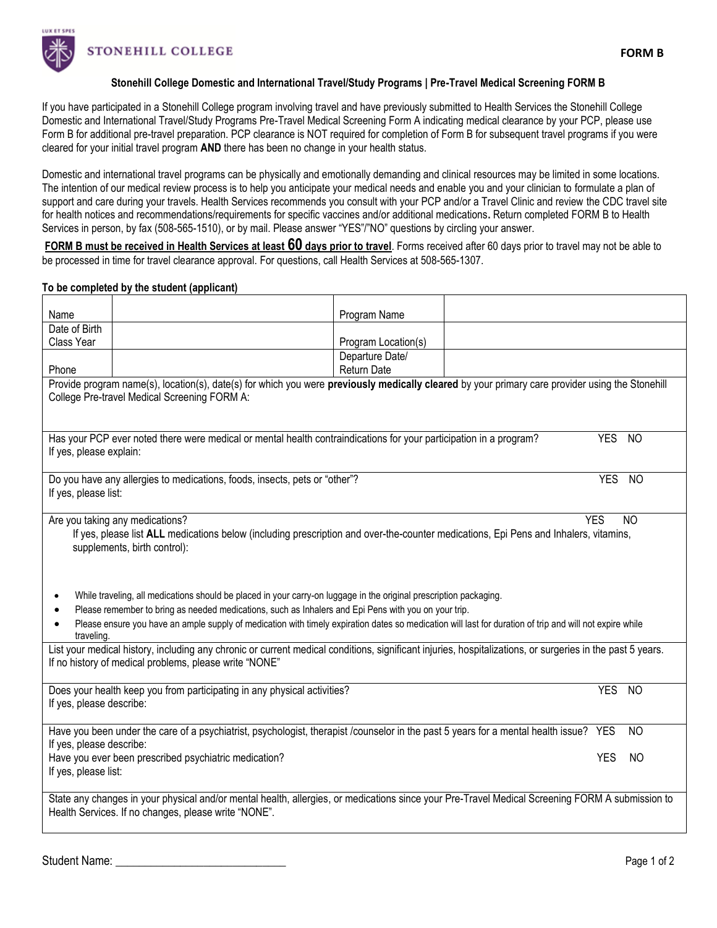

**STONEHILL COLLEGE** 

## **Stonehill College Domestic and International Travel/Study Programs | Pre-Travel Medical Screening FORM B**

If you have participated in a Stonehill College program involving travel and have previously submitted to Health Services the Stonehill College Domestic and International Travel/Study Programs Pre-Travel Medical Screening Form A indicating medical clearance by your PCP, please use Form B for additional pre-travel preparation. PCP clearance is NOT required for completion of Form B for subsequent travel programs if you were cleared for your initial travel program **AND** there has been no change in your health status.

Domestic and international travel programs can be physically and emotionally demanding and clinical resources may be limited in some locations. The intention of our medical review process is to help you anticipate your medical needs and enable you and your clinician to formulate a plan of support and care during your travels. Health Services recommends you consult with your PCP and/or a Travel Clinic and review the CDC travel site for health notices and recommendations/requirements for specific vaccines and/or additional medications**.** Return completed FORM B to Health Services in person, by fax (508-565-1510), or by mail. Please answer "YES"/"NO" questions by circling your answer.

**FORM B must be received in Health Services at least 60 days prior to travel**. Forms received after 60 days prior to travel may not be able to be processed in time for travel clearance approval. For questions, call Health Services at 508-565-1307.

## **To be completed by the student (applicant)**

| Name                                                                                                                                                                                                                                                                                                                                                                                                                                                                                                                                                                                                                                                                                                                                                                                                       |                                                                                                                                       | Program Name        |  |            |           |  |
|------------------------------------------------------------------------------------------------------------------------------------------------------------------------------------------------------------------------------------------------------------------------------------------------------------------------------------------------------------------------------------------------------------------------------------------------------------------------------------------------------------------------------------------------------------------------------------------------------------------------------------------------------------------------------------------------------------------------------------------------------------------------------------------------------------|---------------------------------------------------------------------------------------------------------------------------------------|---------------------|--|------------|-----------|--|
| Date of Birth                                                                                                                                                                                                                                                                                                                                                                                                                                                                                                                                                                                                                                                                                                                                                                                              |                                                                                                                                       |                     |  |            |           |  |
| Class Year                                                                                                                                                                                                                                                                                                                                                                                                                                                                                                                                                                                                                                                                                                                                                                                                 |                                                                                                                                       | Program Location(s) |  |            |           |  |
|                                                                                                                                                                                                                                                                                                                                                                                                                                                                                                                                                                                                                                                                                                                                                                                                            |                                                                                                                                       | Departure Date/     |  |            |           |  |
| Phone                                                                                                                                                                                                                                                                                                                                                                                                                                                                                                                                                                                                                                                                                                                                                                                                      |                                                                                                                                       | Return Date         |  |            |           |  |
| Provide program name(s), location(s), date(s) for which you were previously medically cleared by your primary care provider using the Stonehill<br>College Pre-travel Medical Screening FORM A:                                                                                                                                                                                                                                                                                                                                                                                                                                                                                                                                                                                                            |                                                                                                                                       |                     |  |            |           |  |
|                                                                                                                                                                                                                                                                                                                                                                                                                                                                                                                                                                                                                                                                                                                                                                                                            |                                                                                                                                       |                     |  |            |           |  |
| Has your PCP ever noted there were medical or mental health contraindications for your participation in a program?<br><b>YES</b><br><b>NO</b><br>If yes, please explain:                                                                                                                                                                                                                                                                                                                                                                                                                                                                                                                                                                                                                                   |                                                                                                                                       |                     |  |            |           |  |
| <b>YES</b><br>Do you have any allergies to medications, foods, insects, pets or "other"?<br>If yes, please list:                                                                                                                                                                                                                                                                                                                                                                                                                                                                                                                                                                                                                                                                                           |                                                                                                                                       |                     |  |            | <b>NO</b> |  |
| Are you taking any medications?<br><b>YES</b><br>NO<br>If yes, please list ALL medications below (including prescription and over-the-counter medications, Epi Pens and Inhalers, vitamins,<br>supplements, birth control):<br>While traveling, all medications should be placed in your carry-on luggage in the original prescription packaging.<br>٠<br>Please remember to bring as needed medications, such as Inhalers and Epi Pens with you on your trip.<br>٠<br>Please ensure you have an ample supply of medication with timely expiration dates so medication will last for duration of trip and will not expire while<br>traveling.<br>List your medical history, including any chronic or current medical conditions, significant injuries, hospitalizations, or surgeries in the past 5 years. |                                                                                                                                       |                     |  |            |           |  |
|                                                                                                                                                                                                                                                                                                                                                                                                                                                                                                                                                                                                                                                                                                                                                                                                            | If no history of medical problems, please write "NONE"                                                                                |                     |  |            |           |  |
| If yes, please describe:                                                                                                                                                                                                                                                                                                                                                                                                                                                                                                                                                                                                                                                                                                                                                                                   | Does your health keep you from participating in any physical activities?                                                              |                     |  | <b>YES</b> | <b>NO</b> |  |
| If yes, please describe:                                                                                                                                                                                                                                                                                                                                                                                                                                                                                                                                                                                                                                                                                                                                                                                   | Have you been under the care of a psychiatrist, psychologist, therapist /counselor in the past 5 years for a mental health issue? YES |                     |  |            | NO        |  |
| If yes, please list:                                                                                                                                                                                                                                                                                                                                                                                                                                                                                                                                                                                                                                                                                                                                                                                       | Have you ever been prescribed psychiatric medication?                                                                                 |                     |  | <b>YES</b> | NO.       |  |
| State any changes in your physical and/or mental health, allergies, or medications since your Pre-Travel Medical Screening FORM A submission to<br>Health Services. If no changes, please write "NONE".                                                                                                                                                                                                                                                                                                                                                                                                                                                                                                                                                                                                    |                                                                                                                                       |                     |  |            |           |  |